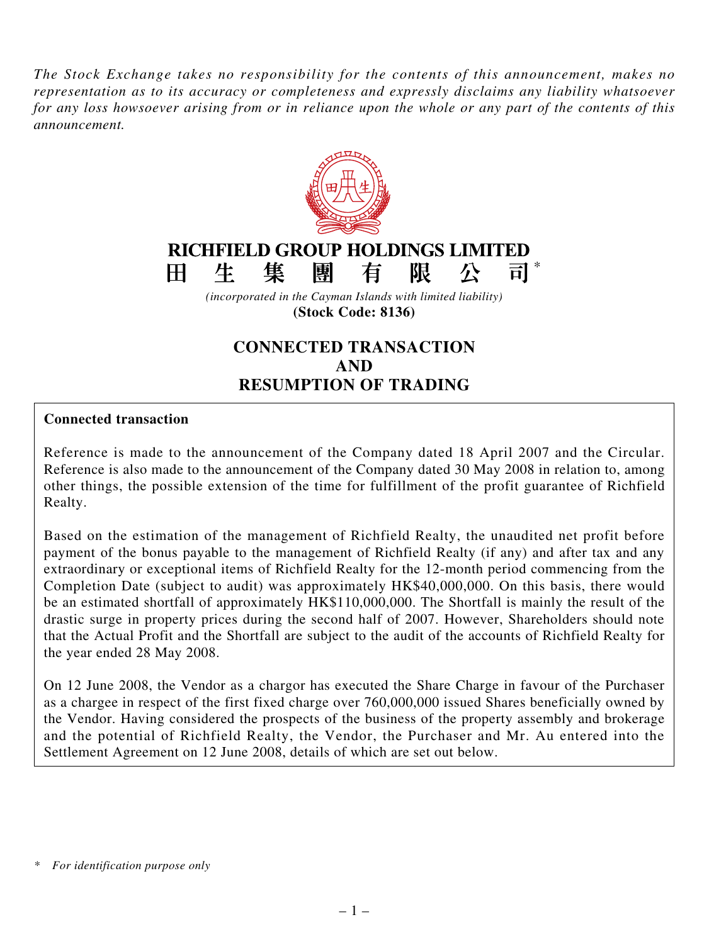*The Stock Exchange takes no responsibility for the contents of this announcement, makes no representation as to its accuracy or completeness and expressly disclaims any liability whatsoever* for any loss howsoever arising from or in reliance upon the whole or any part of the contents of this *announcement.*



**(Stock Code: 8136)**

# **CONNECTED TRANSACTION AND RESUMPTION OF TRADING**

### **Connected transaction**

Reference is made to the announcement of the Company dated 18 April 2007 and the Circular. Reference is also made to the announcement of the Company dated 30 May 2008 in relation to, among other things, the possible extension of the time for fulfillment of the profit guarantee of Richfield Realty.

Based on the estimation of the management of Richfield Realty, the unaudited net profit before payment of the bonus payable to the management of Richfield Realty (if any) and after tax and any extraordinary or exceptional items of Richfield Realty for the 12-month period commencing from the Completion Date (subject to audit) was approximately HK\$40,000,000. On this basis, there would be an estimated shortfall of approximately HK\$110,000,000. The Shortfall is mainly the result of the drastic surge in property prices during the second half of 2007. However, Shareholders should note that the Actual Profit and the Shortfall are subject to the audit of the accounts of Richfield Realty for the year ended 28 May 2008.

On 12 June 2008, the Vendor as a chargor has executed the Share Charge in favour of the Purchaser as a chargee in respect of the first fixed charge over 760,000,000 issued Shares beneficially owned by the Vendor. Having considered the prospects of the business of the property assembly and brokerage and the potential of Richfield Realty, the Vendor, the Purchaser and Mr. Au entered into the Settlement Agreement on 12 June 2008, details of which are set out below.

*<sup>\*</sup> For identification purpose only*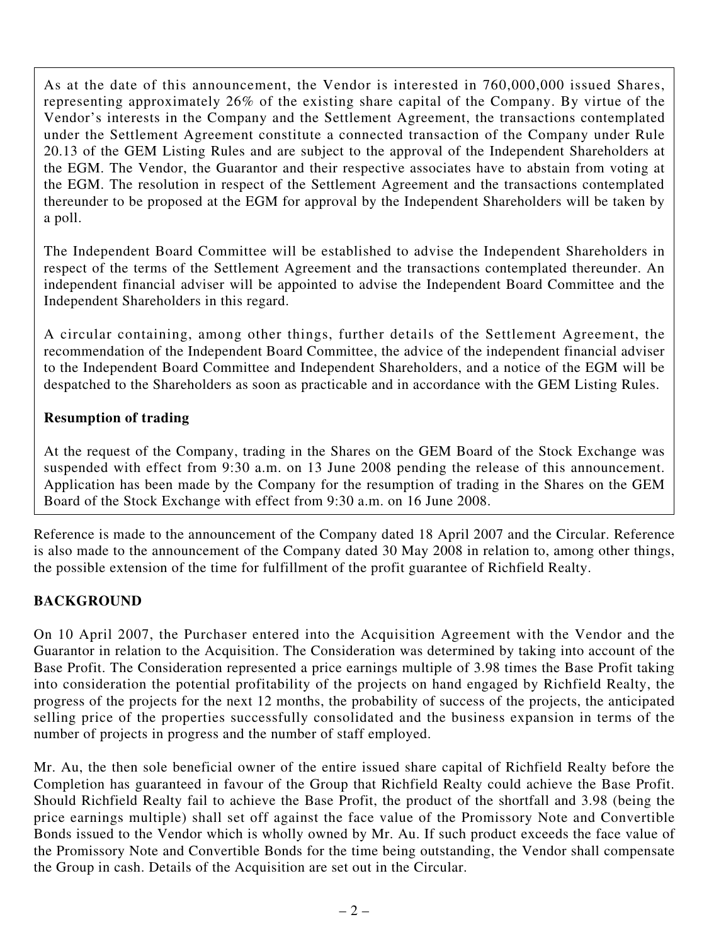As at the date of this announcement, the Vendor is interested in 760,000,000 issued Shares, representing approximately 26% of the existing share capital of the Company. By virtue of the Vendor's interests in the Company and the Settlement Agreement, the transactions contemplated under the Settlement Agreement constitute a connected transaction of the Company under Rule 20.13 of the GEM Listing Rules and are subject to the approval of the Independent Shareholders at the EGM. The Vendor, the Guarantor and their respective associates have to abstain from voting at the EGM. The resolution in respect of the Settlement Agreement and the transactions contemplated thereunder to be proposed at the EGM for approval by the Independent Shareholders will be taken by a poll.

The Independent Board Committee will be established to advise the Independent Shareholders in respect of the terms of the Settlement Agreement and the transactions contemplated thereunder. An independent financial adviser will be appointed to advise the Independent Board Committee and the Independent Shareholders in this regard.

A circular containing, among other things, further details of the Settlement Agreement, the recommendation of the Independent Board Committee, the advice of the independent financial adviser to the Independent Board Committee and Independent Shareholders, and a notice of the EGM will be despatched to the Shareholders as soon as practicable and in accordance with the GEM Listing Rules.

### **Resumption of trading**

At the request of the Company, trading in the Shares on the GEM Board of the Stock Exchange was suspended with effect from 9:30 a.m. on 13 June 2008 pending the release of this announcement. Application has been made by the Company for the resumption of trading in the Shares on the GEM Board of the Stock Exchange with effect from 9:30 a.m. on 16 June 2008.

Reference is made to the announcement of the Company dated 18 April 2007 and the Circular. Reference is also made to the announcement of the Company dated 30 May 2008 in relation to, among other things, the possible extension of the time for fulfillment of the profit guarantee of Richfield Realty.

### **BACKGROUND**

On 10 April 2007, the Purchaser entered into the Acquisition Agreement with the Vendor and the Guarantor in relation to the Acquisition. The Consideration was determined by taking into account of the Base Profit. The Consideration represented a price earnings multiple of 3.98 times the Base Profit taking into consideration the potential profitability of the projects on hand engaged by Richfield Realty, the progress of the projects for the next 12 months, the probability of success of the projects, the anticipated selling price of the properties successfully consolidated and the business expansion in terms of the number of projects in progress and the number of staff employed.

Mr. Au, the then sole beneficial owner of the entire issued share capital of Richfield Realty before the Completion has guaranteed in favour of the Group that Richfield Realty could achieve the Base Profit. Should Richfield Realty fail to achieve the Base Profit, the product of the shortfall and 3.98 (being the price earnings multiple) shall set off against the face value of the Promissory Note and Convertible Bonds issued to the Vendor which is wholly owned by Mr. Au. If such product exceeds the face value of the Promissory Note and Convertible Bonds for the time being outstanding, the Vendor shall compensate the Group in cash. Details of the Acquisition are set out in the Circular.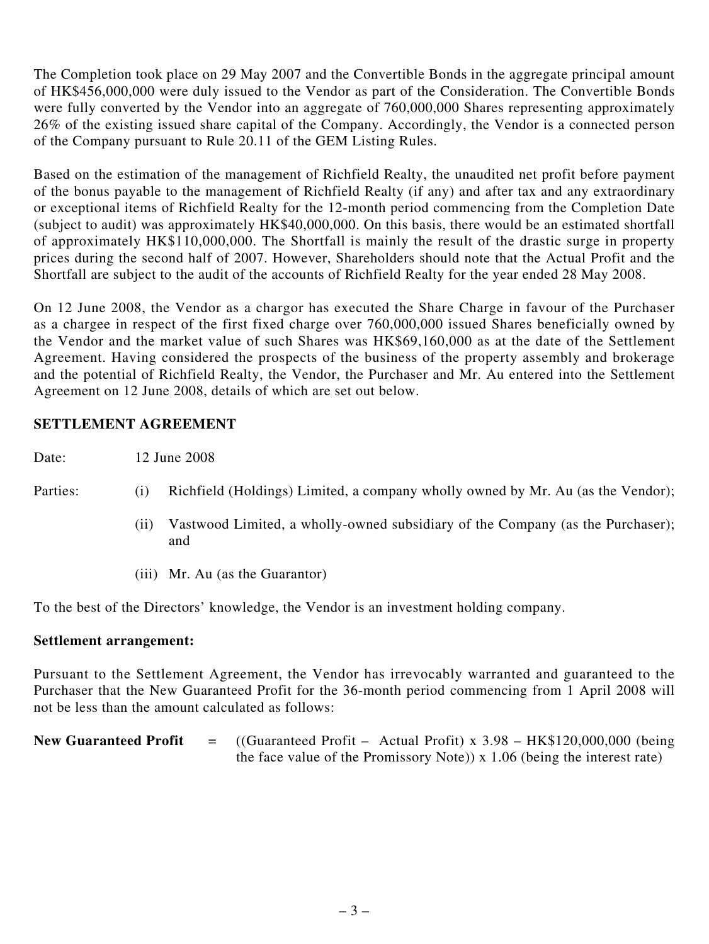The Completion took place on 29 May 2007 and the Convertible Bonds in the aggregate principal amount of HK\$456,000,000 were duly issued to the Vendor as part of the Consideration. The Convertible Bonds were fully converted by the Vendor into an aggregate of 760,000,000 Shares representing approximately 26% of the existing issued share capital of the Company. Accordingly, the Vendor is a connected person of the Company pursuant to Rule 20.11 of the GEM Listing Rules.

Based on the estimation of the management of Richfield Realty, the unaudited net profit before payment of the bonus payable to the management of Richfield Realty (if any) and after tax and any extraordinary or exceptional items of Richfield Realty for the 12-month period commencing from the Completion Date (subject to audit) was approximately HK\$40,000,000. On this basis, there would be an estimated shortfall of approximately HK\$110,000,000. The Shortfall is mainly the result of the drastic surge in property prices during the second half of 2007. However, Shareholders should note that the Actual Profit and the Shortfall are subject to the audit of the accounts of Richfield Realty for the year ended 28 May 2008.

On 12 June 2008, the Vendor as a chargor has executed the Share Charge in favour of the Purchaser as a chargee in respect of the first fixed charge over 760,000,000 issued Shares beneficially owned by the Vendor and the market value of such Shares was HK\$69,160,000 as at the date of the Settlement Agreement. Having considered the prospects of the business of the property assembly and brokerage and the potential of Richfield Realty, the Vendor, the Purchaser and Mr. Au entered into the Settlement Agreement on 12 June 2008, details of which are set out below.

### **SETTLEMENT AGREEMENT**

Date: 12 June 2008

- Parties: (i) Richfield (Holdings) Limited, a company wholly owned by Mr. Au (as the Vendor);
	- (ii) Vastwood Limited, a wholly-owned subsidiary of the Company (as the Purchaser); and
	- (iii) Mr. Au (as the Guarantor)

To the best of the Directors' knowledge, the Vendor is an investment holding company.

### **Settlement arrangement:**

Pursuant to the Settlement Agreement, the Vendor has irrevocably warranted and guaranteed to the Purchaser that the New Guaranteed Profit for the 36-month period commencing from 1 April 2008 will not be less than the amount calculated as follows:

**New Guaranteed Profit** = ((Guaranteed Profit – Actual Profit) x 3.98 – HK\$120,000,000 (being the face value of the Promissory Note)) x 1.06 (being the interest rate)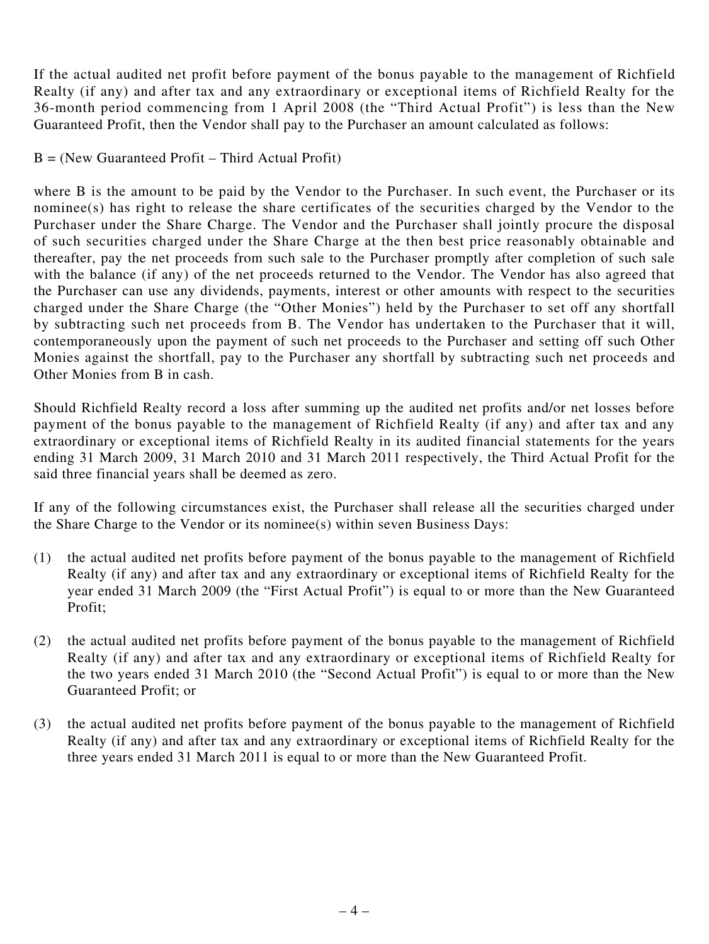If the actual audited net profit before payment of the bonus payable to the management of Richfield Realty (if any) and after tax and any extraordinary or exceptional items of Richfield Realty for the 36-month period commencing from 1 April 2008 (the "Third Actual Profit") is less than the New Guaranteed Profit, then the Vendor shall pay to the Purchaser an amount calculated as follows:

#### $B =$  (New Guaranteed Profit – Third Actual Profit)

where B is the amount to be paid by the Vendor to the Purchaser. In such event, the Purchaser or its nominee(s) has right to release the share certificates of the securities charged by the Vendor to the Purchaser under the Share Charge. The Vendor and the Purchaser shall jointly procure the disposal of such securities charged under the Share Charge at the then best price reasonably obtainable and thereafter, pay the net proceeds from such sale to the Purchaser promptly after completion of such sale with the balance (if any) of the net proceeds returned to the Vendor. The Vendor has also agreed that the Purchaser can use any dividends, payments, interest or other amounts with respect to the securities charged under the Share Charge (the "Other Monies") held by the Purchaser to set off any shortfall by subtracting such net proceeds from B. The Vendor has undertaken to the Purchaser that it will, contemporaneously upon the payment of such net proceeds to the Purchaser and setting off such Other Monies against the shortfall, pay to the Purchaser any shortfall by subtracting such net proceeds and Other Monies from B in cash.

Should Richfield Realty record a loss after summing up the audited net profits and/or net losses before payment of the bonus payable to the management of Richfield Realty (if any) and after tax and any extraordinary or exceptional items of Richfield Realty in its audited financial statements for the years ending 31 March 2009, 31 March 2010 and 31 March 2011 respectively, the Third Actual Profit for the said three financial years shall be deemed as zero.

If any of the following circumstances exist, the Purchaser shall release all the securities charged under the Share Charge to the Vendor or its nominee(s) within seven Business Days:

- (1) the actual audited net profits before payment of the bonus payable to the management of Richfield Realty (if any) and after tax and any extraordinary or exceptional items of Richfield Realty for the year ended 31 March 2009 (the "First Actual Profit") is equal to or more than the New Guaranteed Profit;
- (2) the actual audited net profits before payment of the bonus payable to the management of Richfield Realty (if any) and after tax and any extraordinary or exceptional items of Richfield Realty for the two years ended 31 March 2010 (the "Second Actual Profit") is equal to or more than the New Guaranteed Profit; or
- (3) the actual audited net profits before payment of the bonus payable to the management of Richfield Realty (if any) and after tax and any extraordinary or exceptional items of Richfield Realty for the three years ended 31 March 2011 is equal to or more than the New Guaranteed Profit.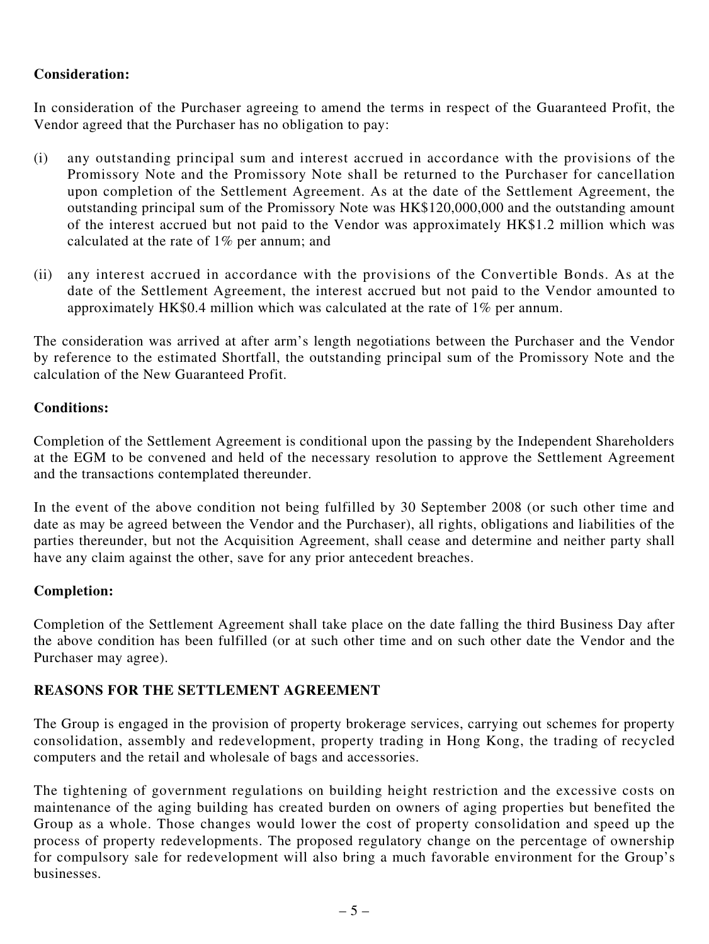### **Consideration:**

In consideration of the Purchaser agreeing to amend the terms in respect of the Guaranteed Profit, the Vendor agreed that the Purchaser has no obligation to pay:

- (i) any outstanding principal sum and interest accrued in accordance with the provisions of the Promissory Note and the Promissory Note shall be returned to the Purchaser for cancellation upon completion of the Settlement Agreement. As at the date of the Settlement Agreement, the outstanding principal sum of the Promissory Note was HK\$120,000,000 and the outstanding amount of the interest accrued but not paid to the Vendor was approximately HK\$1.2 million which was calculated at the rate of 1% per annum; and
- (ii) any interest accrued in accordance with the provisions of the Convertible Bonds. As at the date of the Settlement Agreement, the interest accrued but not paid to the Vendor amounted to approximately HK\$0.4 million which was calculated at the rate of 1% per annum.

The consideration was arrived at after arm's length negotiations between the Purchaser and the Vendor by reference to the estimated Shortfall, the outstanding principal sum of the Promissory Note and the calculation of the New Guaranteed Profit.

#### **Conditions:**

Completion of the Settlement Agreement is conditional upon the passing by the Independent Shareholders at the EGM to be convened and held of the necessary resolution to approve the Settlement Agreement and the transactions contemplated thereunder.

In the event of the above condition not being fulfilled by 30 September 2008 (or such other time and date as may be agreed between the Vendor and the Purchaser), all rights, obligations and liabilities of the parties thereunder, but not the Acquisition Agreement, shall cease and determine and neither party shall have any claim against the other, save for any prior antecedent breaches.

### **Completion:**

Completion of the Settlement Agreement shall take place on the date falling the third Business Day after the above condition has been fulfilled (or at such other time and on such other date the Vendor and the Purchaser may agree).

### **REASONS FOR THE SETTLEMENT AGREEMENT**

The Group is engaged in the provision of property brokerage services, carrying out schemes for property consolidation, assembly and redevelopment, property trading in Hong Kong, the trading of recycled computers and the retail and wholesale of bags and accessories.

The tightening of government regulations on building height restriction and the excessive costs on maintenance of the aging building has created burden on owners of aging properties but benefited the Group as a whole. Those changes would lower the cost of property consolidation and speed up the process of property redevelopments. The proposed regulatory change on the percentage of ownership for compulsory sale for redevelopment will also bring a much favorable environment for the Group's businesses.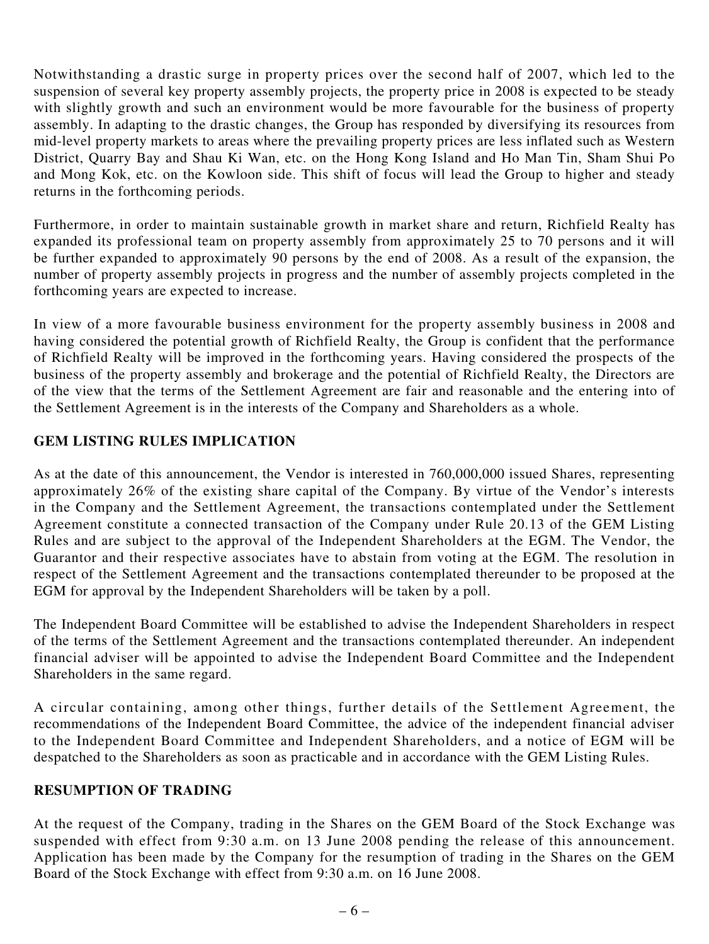Notwithstanding a drastic surge in property prices over the second half of 2007, which led to the suspension of several key property assembly projects, the property price in 2008 is expected to be steady with slightly growth and such an environment would be more favourable for the business of property assembly. In adapting to the drastic changes, the Group has responded by diversifying its resources from mid-level property markets to areas where the prevailing property prices are less inflated such as Western District, Quarry Bay and Shau Ki Wan, etc. on the Hong Kong Island and Ho Man Tin, Sham Shui Po and Mong Kok, etc. on the Kowloon side. This shift of focus will lead the Group to higher and steady returns in the forthcoming periods.

Furthermore, in order to maintain sustainable growth in market share and return, Richfield Realty has expanded its professional team on property assembly from approximately 25 to 70 persons and it will be further expanded to approximately 90 persons by the end of 2008. As a result of the expansion, the number of property assembly projects in progress and the number of assembly projects completed in the forthcoming years are expected to increase.

In view of a more favourable business environment for the property assembly business in 2008 and having considered the potential growth of Richfield Realty, the Group is confident that the performance of Richfield Realty will be improved in the forthcoming years. Having considered the prospects of the business of the property assembly and brokerage and the potential of Richfield Realty, the Directors are of the view that the terms of the Settlement Agreement are fair and reasonable and the entering into of the Settlement Agreement is in the interests of the Company and Shareholders as a whole.

### **GEM LISTING RULES IMPLICATION**

As at the date of this announcement, the Vendor is interested in 760,000,000 issued Shares, representing approximately 26% of the existing share capital of the Company. By virtue of the Vendor's interests in the Company and the Settlement Agreement, the transactions contemplated under the Settlement Agreement constitute a connected transaction of the Company under Rule 20.13 of the GEM Listing Rules and are subject to the approval of the Independent Shareholders at the EGM. The Vendor, the Guarantor and their respective associates have to abstain from voting at the EGM. The resolution in respect of the Settlement Agreement and the transactions contemplated thereunder to be proposed at the EGM for approval by the Independent Shareholders will be taken by a poll.

The Independent Board Committee will be established to advise the Independent Shareholders in respect of the terms of the Settlement Agreement and the transactions contemplated thereunder. An independent financial adviser will be appointed to advise the Independent Board Committee and the Independent Shareholders in the same regard.

A circular containing, among other things, further details of the Settlement Agreement, the recommendations of the Independent Board Committee, the advice of the independent financial adviser to the Independent Board Committee and Independent Shareholders, and a notice of EGM will be despatched to the Shareholders as soon as practicable and in accordance with the GEM Listing Rules.

### **RESUMPTION OF TRADING**

At the request of the Company, trading in the Shares on the GEM Board of the Stock Exchange was suspended with effect from 9:30 a.m. on 13 June 2008 pending the release of this announcement. Application has been made by the Company for the resumption of trading in the Shares on the GEM Board of the Stock Exchange with effect from 9:30 a.m. on 16 June 2008.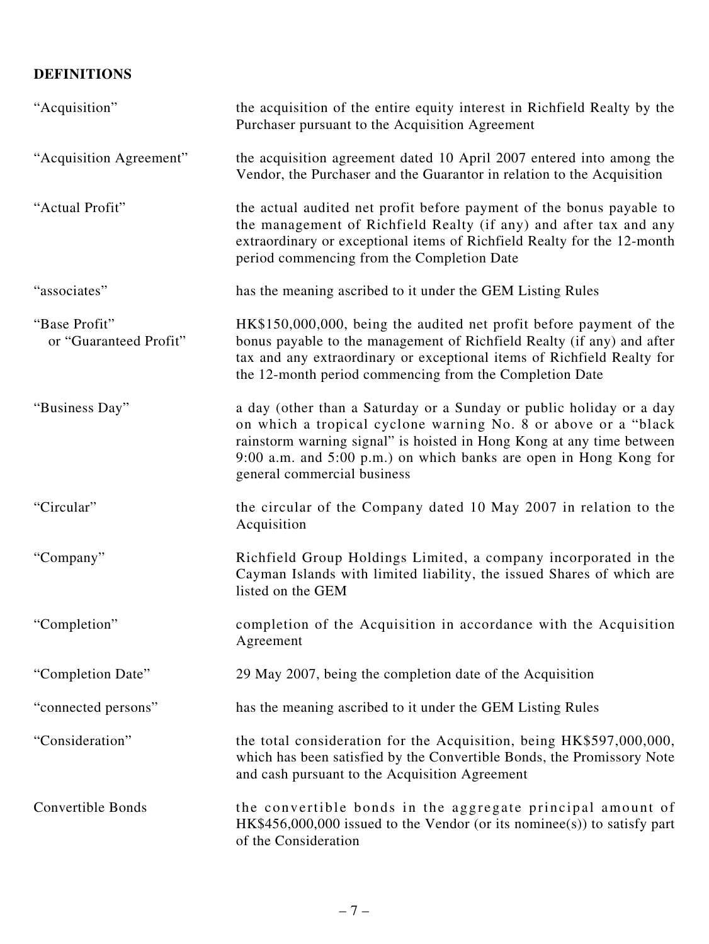## **DEFINITIONS**

| "Acquisition"                           | the acquisition of the entire equity interest in Richfield Realty by the<br>Purchaser pursuant to the Acquisition Agreement                                                                                                                                                                                        |
|-----------------------------------------|--------------------------------------------------------------------------------------------------------------------------------------------------------------------------------------------------------------------------------------------------------------------------------------------------------------------|
| "Acquisition Agreement"                 | the acquisition agreement dated 10 April 2007 entered into among the<br>Vendor, the Purchaser and the Guarantor in relation to the Acquisition                                                                                                                                                                     |
| "Actual Profit"                         | the actual audited net profit before payment of the bonus payable to<br>the management of Richfield Realty (if any) and after tax and any<br>extraordinary or exceptional items of Richfield Realty for the 12-month<br>period commencing from the Completion Date                                                 |
| "associates"                            | has the meaning ascribed to it under the GEM Listing Rules                                                                                                                                                                                                                                                         |
| "Base Profit"<br>or "Guaranteed Profit" | HK\$150,000,000, being the audited net profit before payment of the<br>bonus payable to the management of Richfield Realty (if any) and after<br>tax and any extraordinary or exceptional items of Richfield Realty for<br>the 12-month period commencing from the Completion Date                                 |
| "Business Day"                          | a day (other than a Saturday or a Sunday or public holiday or a day<br>on which a tropical cyclone warning No. 8 or above or a "black<br>rainstorm warning signal" is hoisted in Hong Kong at any time between<br>9:00 a.m. and 5:00 p.m.) on which banks are open in Hong Kong for<br>general commercial business |
| "Circular"                              | the circular of the Company dated 10 May 2007 in relation to the<br>Acquisition                                                                                                                                                                                                                                    |
| "Company"                               | Richfield Group Holdings Limited, a company incorporated in the<br>Cayman Islands with limited liability, the issued Shares of which are<br>listed on the GEM                                                                                                                                                      |
| "Completion"                            | completion of the Acquisition in accordance with the Acquisition<br>Agreement                                                                                                                                                                                                                                      |
| "Completion Date"                       | 29 May 2007, being the completion date of the Acquisition                                                                                                                                                                                                                                                          |
| "connected persons"                     | has the meaning ascribed to it under the GEM Listing Rules                                                                                                                                                                                                                                                         |
| "Consideration"                         | the total consideration for the Acquisition, being HK\$597,000,000,<br>which has been satisfied by the Convertible Bonds, the Promissory Note<br>and cash pursuant to the Acquisition Agreement                                                                                                                    |
| Convertible Bonds                       | the convertible bonds in the aggregate principal amount of<br>$HK$456,000,000$ issued to the Vendor (or its nominee(s)) to satisfy part<br>of the Consideration                                                                                                                                                    |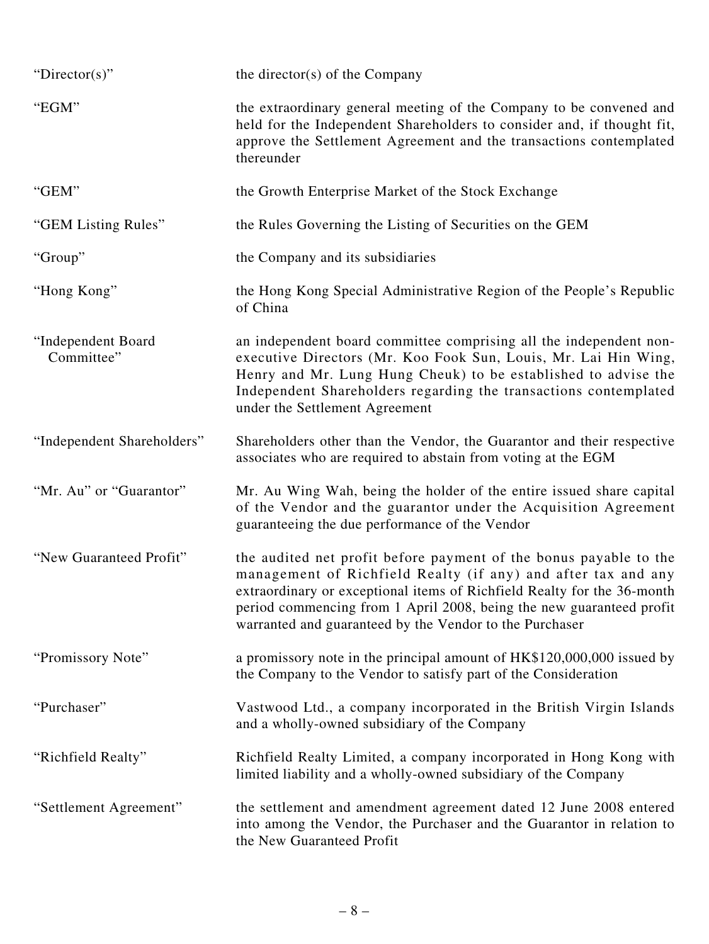| "Director(s)"                    | the director( $s$ ) of the Company                                                                                                                                                                                                                                                                                                               |
|----------------------------------|--------------------------------------------------------------------------------------------------------------------------------------------------------------------------------------------------------------------------------------------------------------------------------------------------------------------------------------------------|
| "EGM"                            | the extraordinary general meeting of the Company to be convened and<br>held for the Independent Shareholders to consider and, if thought fit,<br>approve the Settlement Agreement and the transactions contemplated<br>thereunder                                                                                                                |
| "GEM"                            | the Growth Enterprise Market of the Stock Exchange                                                                                                                                                                                                                                                                                               |
| "GEM Listing Rules"              | the Rules Governing the Listing of Securities on the GEM                                                                                                                                                                                                                                                                                         |
| "Group"                          | the Company and its subsidiaries                                                                                                                                                                                                                                                                                                                 |
| "Hong Kong"                      | the Hong Kong Special Administrative Region of the People's Republic<br>of China                                                                                                                                                                                                                                                                 |
| "Independent Board<br>Committee" | an independent board committee comprising all the independent non-<br>executive Directors (Mr. Koo Fook Sun, Louis, Mr. Lai Hin Wing,<br>Henry and Mr. Lung Hung Cheuk) to be established to advise the<br>Independent Shareholders regarding the transactions contemplated<br>under the Settlement Agreement                                    |
| "Independent Shareholders"       | Shareholders other than the Vendor, the Guarantor and their respective<br>associates who are required to abstain from voting at the EGM                                                                                                                                                                                                          |
| "Mr. Au" or "Guarantor"          | Mr. Au Wing Wah, being the holder of the entire issued share capital<br>of the Vendor and the guarantor under the Acquisition Agreement<br>guaranteeing the due performance of the Vendor                                                                                                                                                        |
| "New Guaranteed Profit"          | the audited net profit before payment of the bonus payable to the<br>management of Richfield Realty (if any) and after tax and any<br>extraordinary or exceptional items of Richfield Realty for the 36-month<br>period commencing from 1 April 2008, being the new guaranteed profit<br>warranted and guaranteed by the Vendor to the Purchaser |
| "Promissory Note"                | a promissory note in the principal amount of HK\$120,000,000 issued by<br>the Company to the Vendor to satisfy part of the Consideration                                                                                                                                                                                                         |
| "Purchaser"                      | Vastwood Ltd., a company incorporated in the British Virgin Islands<br>and a wholly-owned subsidiary of the Company                                                                                                                                                                                                                              |
| "Richfield Realty"               | Richfield Realty Limited, a company incorporated in Hong Kong with<br>limited liability and a wholly-owned subsidiary of the Company                                                                                                                                                                                                             |
| "Settlement Agreement"           | the settlement and amendment agreement dated 12 June 2008 entered<br>into among the Vendor, the Purchaser and the Guarantor in relation to<br>the New Guaranteed Profit                                                                                                                                                                          |